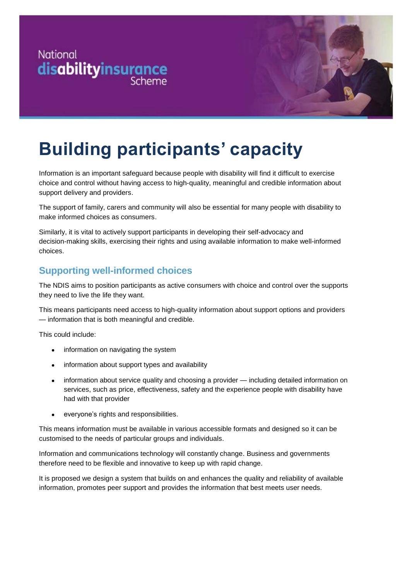



# **Building participants' capacity**

Information is an important safeguard because people with disability will find it difficult to exercise choice and control without having access to high-quality, meaningful and credible information about support delivery and providers.

The support of family, carers and community will also be essential for many people with disability to make informed choices as consumers.

Similarly, it is vital to actively support participants in developing their self-advocacy and decision-making skills, exercising their rights and using available information to make well-informed choices.

#### **Supporting well-informed choices**

The NDIS aims to position participants as active consumers with choice and control over the supports they need to live the life they want.

This means participants need access to high-quality information about support options and providers — information that is both meaningful and credible.

This could include:

- information on navigating the system
- information about support types and availability
- information about service quality and choosing a provider including detailed information on services, such as price, effectiveness, safety and the experience people with disability have had with that provider
- everyone's rights and responsibilities.

This means information must be available in various accessible formats and designed so it can be customised to the needs of particular groups and individuals.

Information and communications technology will constantly change. Business and governments therefore need to be flexible and innovative to keep up with rapid change.

It is proposed we design a system that builds on and enhances the quality and reliability of available information, promotes peer support and provides the information that best meets user needs.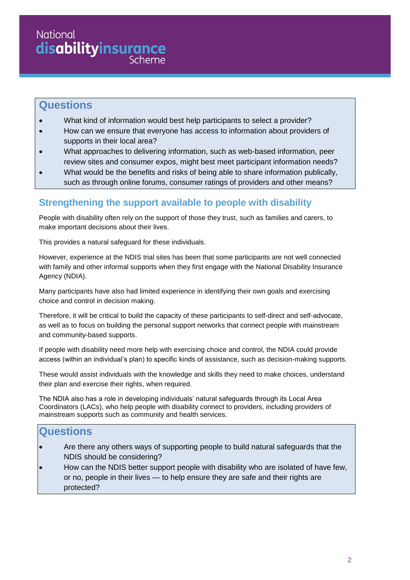## **National disabilityinsurance**

#### **Questions**

- What kind of information would best help participants to select a provider?
- How can we ensure that everyone has access to information about providers of supports in their local area?
- What approaches to delivering information, such as web-based information, peer review sites and consumer expos, might best meet participant information needs?
- What would be the benefits and risks of being able to share information publically, such as through online forums, consumer ratings of providers and other means?

### **Strengthening the support available to people with disability**

People with disability often rely on the support of those they trust, such as families and carers, to make important decisions about their lives.

This provides a natural safeguard for these individuals.

However, experience at the NDIS trial sites has been that some participants are not well connected with family and other informal supports when they first engage with the National Disability Insurance Agency (NDIA).

Many participants have also had limited experience in identifying their own goals and exercising choice and control in decision making.

Therefore, it will be critical to build the capacity of these participants to self-direct and self-advocate, as well as to focus on building the personal support networks that connect people with mainstream and community-based supports.

If people with disability need more help with exercising choice and control, the NDIA could provide access (within an individual's plan) to specific kinds of assistance, such as decision-making supports.

These would assist individuals with the knowledge and skills they need to make choices, understand their plan and exercise their rights, when required.

The NDIA also has a role in developing individuals' natural safeguards through its Local Area Coordinators (LACs), who help people with disability connect to providers, including providers of mainstream supports such as community and health services.

### **Questions**

- Are there any others ways of supporting people to build natural safeguards that the NDIS should be considering?
- How can the NDIS better support people with disability who are isolated of have few, or no, people in their lives — to help ensure they are safe and their rights are protected?